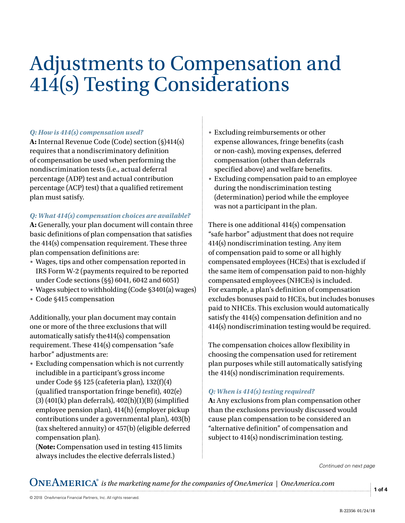# Adjustments to Compensation and 414(s) Testing Considerations

## *Q: How is 414(s) compensation used?*

**A:** Internal Revenue Code (Code) section (§)414(s) requires that a nondiscriminatory definition of compensation be used when performing the nondiscrimination tests (i.e., actual deferral percentage (ADP) test and actual contribution percentage (ACP) test) that a qualified retirement plan must satisfy.

## *Q: What 414(s) compensation choices are available?*

**A:** Generally, your plan document will contain three basic definitions of plan compensation that satisfies the 414(s) compensation requirement. These three plan compensation definitions are:

- Wages, tips and other compensation reported in IRS Form W-2 (payments required to be reported under Code sections (§§) 6041, 6042 and 6051)
- Wages subject to withholding (Code §3401(a) wages)
- Code §415 compensation

Additionally, your plan document may contain one or more of the three exclusions that will automatically satisfy the414(s) compensation requirement. These 414(s) compensation "safe harbor" adjustments are:

• Excluding compensation which is not currently includible in a participant's gross income under Code §§ 125 (cafeteria plan), 132(f)(4) (qualified transportation fringe benefit), 402(e) (3) (401(k) plan deferrals), 402(h)(1)(B) (simplified employee pension plan), 414(h) (employer pickup contributions under a governmental plan), 403(b) (tax sheltered annuity) or 457(b) (eligible deferred compensation plan).

(**Note:** Compensation used in testing 415 limits always includes the elective deferrals listed.)

- Excluding reimbursements or other expense allowances, fringe benefits (cash or non-cash), moving expenses, deferred compensation (other than deferrals specified above) and welfare benefits.
- Excluding compensation paid to an employee during the nondiscrimination testing (determination) period while the employee was not a participant in the plan.

There is one additional 414(s) compensation "safe harbor" adjustment that does not require 414(s) nondiscrimination testing. Any item of compensation paid to some or all highly compensated employees (HCEs) that is excluded if the same item of compensation paid to non-highly compensated employees (NHCEs) is included. For example, a plan's definition of compensation excludes bonuses paid to HCEs, but includes bonuses paid to NHCEs. This exclusion would automatically satisfy the 414(s) compensation definition and no 414(s) nondiscrimination testing would be required.

The compensation choices allow flexibility in choosing the compensation used for retirement plan purposes while still automatically satisfying the 414(s) nondiscrimination requirements.

## *Q: When is 414(s) testing required?*

**A:** Any exclusions from plan compensation other than the exclusions previously discussed would cause plan compensation to be considered an "alternative definition" of compensation and subject to 414(s) nondiscrimination testing.

*Continued on next page*

 $\mathbf{ONEAMERICA}^{*}$  is the marketing name for the companies of OneAmerica | OneAmerica.com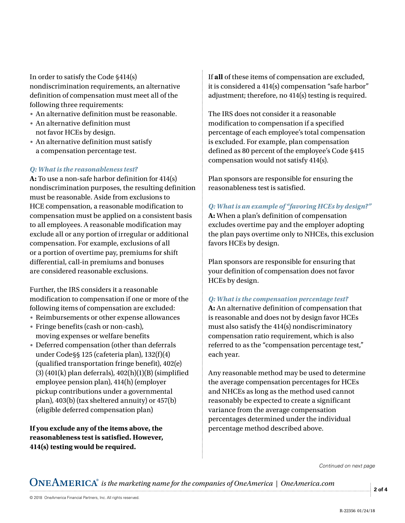In order to satisfy the Code §414(s) nondiscrimination requirements, an alternative definition of compensation must meet all of the following three requirements:

- An alternative definition must be reasonable.
- An alternative definition must not favor HCEs by design.
- An alternative definition must satisfy a compensation percentage test.

#### *Q: What is the reasonableness test?*

**A:** To use a non-safe harbor definition for 414(s) nondiscrimination purposes, the resulting definition must be reasonable. Aside from exclusions to HCE compensation, a reasonable modification to compensation must be applied on a consistent basis to all employees. A reasonable modification may exclude all or any portion of irregular or additional compensation. For example, exclusions of all or a portion of overtime pay, premiums for shift differential, call-in premiums and bonuses are considered reasonable exclusions.

Further, the IRS considers it a reasonable modification to compensation if one or more of the following items of compensation are excluded:

- Reimbursements or other expense allowances
- Fringe benefits (cash or non-cash), moving expenses or welfare benefits
- Deferred compensation (other than deferrals under Code§§ 125 (cafeteria plan), 132(f)(4) (qualified transportation fringe benefit), 402(e)  $(3)$  (401(k) plan deferrals), 402(h)(1)(B) (simplified employee pension plan), 414(h) (employer pickup contributions under a governmental plan), 403(b) (tax sheltered annuity) or 457(b) (eligible deferred compensation plan)

**If you exclude any of the items above, the reasonableness test is satisfied. However, 414(s) testing would be required.** 

If **all** of these items of compensation are excluded, it is considered a 414(s) compensation "safe harbor" adjustment; therefore, no 414(s) testing is required.

The IRS does not consider it a reasonable modification to compensation if a specified percentage of each employee's total compensation is excluded. For example, plan compensation defined as 80 percent of the employee's Code §415 compensation would not satisfy 414(s).

Plan sponsors are responsible for ensuring the reasonableness test is satisfied.

*Q: What is an example of "favoring HCEs by design?"* 

**A:** When a plan's definition of compensation excludes overtime pay and the employer adopting the plan pays overtime only to NHCEs, this exclusion favors HCEs by design.

Plan sponsors are responsible for ensuring that your definition of compensation does not favor HCEs by design.

#### *Q: What is the compensation percentage test?*

**A:** An alternative definition of compensation that is reasonable and does not by design favor HCEs must also satisfy the 414(s) nondiscriminatory compensation ratio requirement, which is also referred to as the "compensation percentage test," each year.

Any reasonable method may be used to determine the average compensation percentages for HCEs and NHCEs as long as the method used cannot reasonably be expected to create a significant variance from the average compensation percentages determined under the individual percentage method described above.

*Continued on next page*

 $\mathbf{ONEAMERICA}^{*}$  is the marketing name for the companies of OneAmerica | OneAmerica.com

**2 of 4**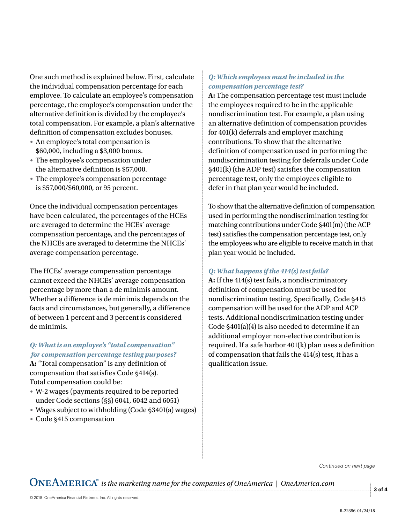One such method is explained below. First, calculate the individual compensation percentage for each employee. To calculate an employee's compensation percentage, the employee's compensation under the alternative definition is divided by the employee's total compensation. For example, a plan's alternative definition of compensation excludes bonuses.

- An employee's total compensation is \$60,000, including a \$3,000 bonus.
- The employee's compensation under the alternative definition is \$57,000.
- The employee's compensation percentage is \$57,000/\$60,000, or 95 percent.

Once the individual compensation percentages have been calculated, the percentages of the HCEs are averaged to determine the HCEs' average compensation percentage, and the percentages of the NHCEs are averaged to determine the NHCEs' average compensation percentage.

The HCEs' average compensation percentage cannot exceed the NHCEs' average compensation percentage by more than a de minimis amount. Whether a difference is de minimis depends on the facts and circumstances, but generally, a difference of between 1 percent and 3 percent is considered de minimis.

## *Q: What is an employee's "total compensation" for compensation percentage testing purposes?*

**A:** "Total compensation" is any definition of compensation that satisfies Code §414(s). Total compensation could be:

- W-2 wages (payments required to be reported under Code sections (§§) 6041, 6042 and 6051)
- Wages subject to withholding (Code §3401(a) wages)
- Code §415 compensation

## *Q: Which employees must be included in the compensation percentage test?*

**A:** The compensation percentage test must include the employees required to be in the applicable nondiscrimination test. For example, a plan using an alternative definition of compensation provides for 401(k) deferrals and employer matching contributions. To show that the alternative definition of compensation used in performing the nondiscrimination testing for deferrals under Code §401(k) (the ADP test) satisfies the compensation percentage test, only the employees eligible to defer in that plan year would be included.

To show that the alternative definition of compensation used in performing the nondiscrimination testing for matching contributions under Code §401(m) (the ACP test) satisfies the compensation percentage test, only the employees who are eligible to receive match in that plan year would be included.

# *Q: What happens if the 414(s) test fails?*

**A:** If the 414(s) test fails, a nondiscriminatory definition of compensation must be used for nondiscrimination testing. Specifically, Code §415 compensation will be used for the ADP and ACP tests. Additional nondiscrimination testing under Code §401(a)(4) is also needed to determine if an additional employer non-elective contribution is required. If a safe harbor 401(k) plan uses a definition of compensation that fails the 414(s) test, it has a qualification issue.

*Continued on next page*

 $\mathbf{ONEAMERICA}^{*}$  is the marketing name for the companies of OneAmerica | OneAmerica.com

**3 of 4**